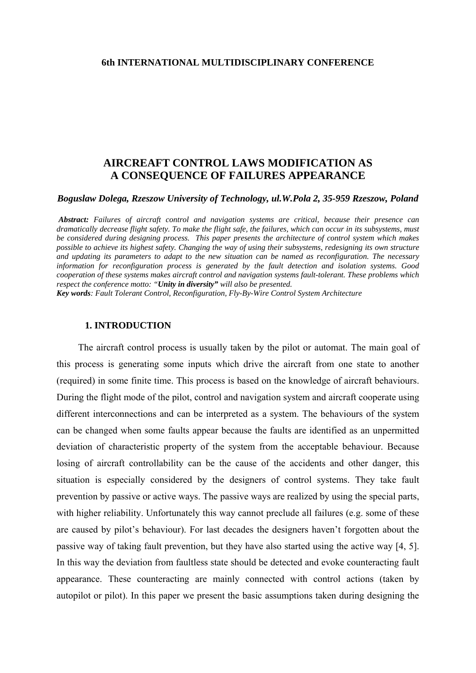## **6th INTERNATIONAL MULTIDISCIPLINARY CONFERENCE**

# **AIRCREAFT CONTROL LAWS MODIFICATION AS A CONSEQUENCE OF FAILURES APPEARANCE**

*Boguslaw Dolega, Rzeszow University of Technology, ul.W.Pola 2, 35-959 Rzeszow, Poland*

 *Abstract: Failures of aircraft control and navigation systems are critical, because their presence can dramatically decrease flight safety. To make the flight safe, the failures, which can occur in its subsystems, must be considered during designing process. This paper presents the architecture of control system which makes possible to achieve its highest safety. Changing the way of using their subsystems, redesigning its own structure and updating its parameters to adapt to the new situation can be named as reconfiguration. The necessary information for reconfiguration process is generated by the fault detection and isolation systems. Good cooperation of these systems makes aircraft control and navigation systems fault-tolerant. These problems which respect the conference motto: "Unity in diversity" will also be presented.* 

*Key words: Fault Tolerant Control, Reconfiguration, Fly-By-Wire Control System Architecture*

### **1. INTRODUCTION**

The aircraft control process is usually taken by the pilot or automat. The main goal of this process is generating some inputs which drive the aircraft from one state to another (required) in some finite time. This process is based on the knowledge of aircraft behaviours. During the flight mode of the pilot, control and navigation system and aircraft cooperate using different interconnections and can be interpreted as a system. The behaviours of the system can be changed when some faults appear because the faults are identified as an unpermitted deviation of characteristic property of the system from the acceptable behaviour. Because losing of aircraft controllability can be the cause of the accidents and other danger, this situation is especially considered by the designers of control systems. They take fault prevention by passive or active ways. The passive ways are realized by using the special parts, with higher reliability. Unfortunately this way cannot preclude all failures (e.g. some of these are caused by pilot's behaviour). For last decades the designers haven't forgotten about the passive way of taking fault prevention, but they have also started using the active way [4, 5]. In this way the deviation from faultless state should be detected and evoke counteracting fault appearance. These counteracting are mainly connected with control actions (taken by autopilot or pilot). In this paper we present the basic assumptions taken during designing the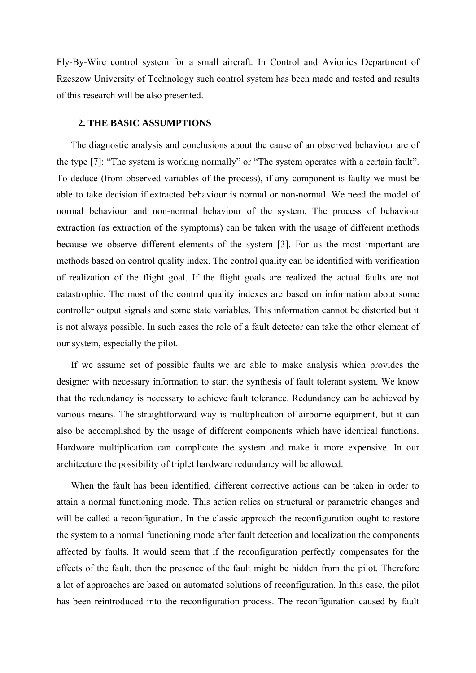Fly-By-Wire control system for a small aircraft. In Control and Avionics Department of Rzeszow University of Technology such control system has been made and tested and results of this research will be also presented.

### **2. THE BASIC ASSUMPTIONS**

The diagnostic analysis and conclusions about the cause of an observed behaviour are of the type [7]: "The system is working normally" or "The system operates with a certain fault". To deduce (from observed variables of the process), if any component is faulty we must be able to take decision if extracted behaviour is normal or non-normal. We need the model of normal behaviour and non-normal behaviour of the system. The process of behaviour extraction (as extraction of the symptoms) can be taken with the usage of different methods because we observe different elements of the system [3]. For us the most important are methods based on control quality index. The control quality can be identified with verification of realization of the flight goal. If the flight goals are realized the actual faults are not catastrophic. The most of the control quality indexes are based on information about some controller output signals and some state variables. This information cannot be distorted but it is not always possible. In such cases the role of a fault detector can take the other element of our system, especially the pilot.

If we assume set of possible faults we are able to make analysis which provides the designer with necessary information to start the synthesis of fault tolerant system. We know that the redundancy is necessary to achieve fault tolerance. Redundancy can be achieved by various means. The straightforward way is multiplication of airborne equipment, but it can also be accomplished by the usage of different components which have identical functions. Hardware multiplication can complicate the system and make it more expensive. In our architecture the possibility of triplet hardware redundancy will be allowed.

When the fault has been identified, different corrective actions can be taken in order to attain a normal functioning mode. This action relies on structural or parametric changes and will be called a reconfiguration. In the classic approach the reconfiguration ought to restore the system to a normal functioning mode after fault detection and localization the components affected by faults. It would seem that if the reconfiguration perfectly compensates for the effects of the fault, then the presence of the fault might be hidden from the pilot. Therefore a lot of approaches are based on automated solutions of reconfiguration. In this case, the pilot has been reintroduced into the reconfiguration process. The reconfiguration caused by fault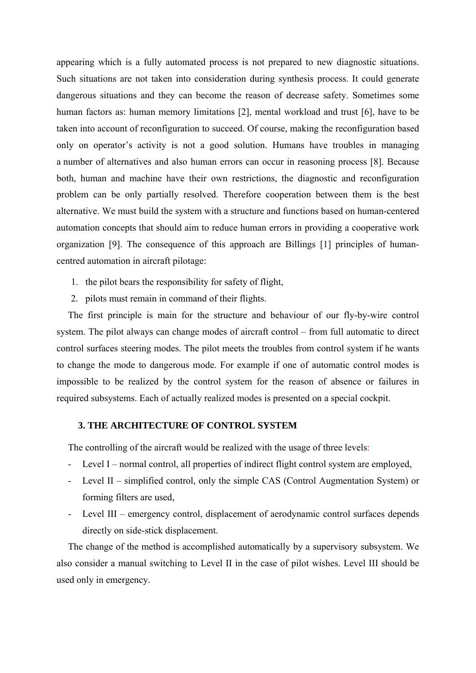appearing which is a fully automated process is not prepared to new diagnostic situations. Such situations are not taken into consideration during synthesis process. It could generate dangerous situations and they can become the reason of decrease safety. Sometimes some human factors as: human memory limitations [2], mental workload and trust [6], have to be taken into account of reconfiguration to succeed. Of course, making the reconfiguration based only on operator's activity is not a good solution. Humans have troubles in managing a number of alternatives and also human errors can occur in reasoning process [8]. Because both, human and machine have their own restrictions, the diagnostic and reconfiguration problem can be only partially resolved. Therefore cooperation between them is the best alternative. We must build the system with a structure and functions based on human-centered automation concepts that should aim to reduce human errors in providing a cooperative work organization [9]. The consequence of this approach are Billings [1] principles of humancentred automation in aircraft pilotage:

- 1. the pilot bears the responsibility for safety of flight,
- 2. pilots must remain in command of their flights.

The first principle is main for the structure and behaviour of our fly-by-wire control system. The pilot always can change modes of aircraft control – from full automatic to direct control surfaces steering modes. The pilot meets the troubles from control system if he wants to change the mode to dangerous mode. For example if one of automatic control modes is impossible to be realized by the control system for the reason of absence or failures in required subsystems. Each of actually realized modes is presented on a special cockpit.

# **3. THE ARCHITECTURE OF CONTROL SYSTEM**

The controlling of the aircraft would be realized with the usage of three levels:

- Level I normal control, all properties of indirect flight control system are employed,
- Level II simplified control, only the simple CAS (Control Augmentation System) or forming filters are used,
- Level III emergency control, displacement of aerodynamic control surfaces depends directly on side-stick displacement.

The change of the method is accomplished automatically by a supervisory subsystem. We also consider a manual switching to Level II in the case of pilot wishes. Level III should be used only in emergency.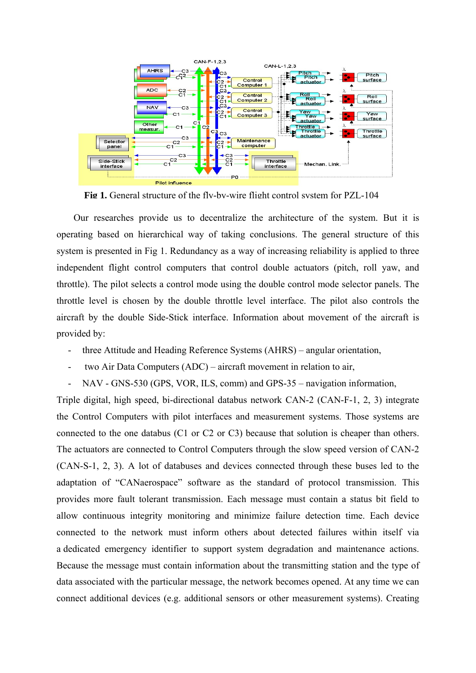

**Fig 1.** General structure of the fly-by-wire flight control system for PZL-104

Our researches provide us to decentralize the architecture of the system. But it is operating based on hierarchical way of taking conclusions. The general structure of this system is presented in Fig 1. Redundancy as a way of increasing reliability is applied to three independent flight control computers that control double actuators (pitch, roll yaw, and throttle). The pilot selects a control mode using the double control mode selector panels. The throttle level is chosen by the double throttle level interface. The pilot also controls the aircraft by the double Side-Stick interface. Information about movement of the aircraft is provided by:

- three Attitude and Heading Reference Systems (AHRS) angular orientation,
- two Air Data Computers (ADC) aircraft movement in relation to air,
- NAV GNS-530 (GPS, VOR, ILS, comm) and GPS-35 navigation information,

Triple digital, high speed, bi-directional databus network CAN-2 (CAN-F-1, 2, 3) integrate the Control Computers with pilot interfaces and measurement systems. Those systems are connected to the one databus (C1 or C2 or C3) because that solution is cheaper than others. The actuators are connected to Control Computers through the slow speed version of CAN-2 (CAN-S-1, 2, 3). A lot of databuses and devices connected through these buses led to the adaptation of "CANaerospace" software as the standard of protocol transmission. This provides more fault tolerant transmission. Each message must contain a status bit field to allow continuous integrity monitoring and minimize failure detection time. Each device connected to the network must inform others about detected failures within itself via a dedicated emergency identifier to support system degradation and maintenance actions. Because the message must contain information about the transmitting station and the type of data associated with the particular message, the network becomes opened. At any time we can connect additional devices (e.g. additional sensors or other measurement systems). Creating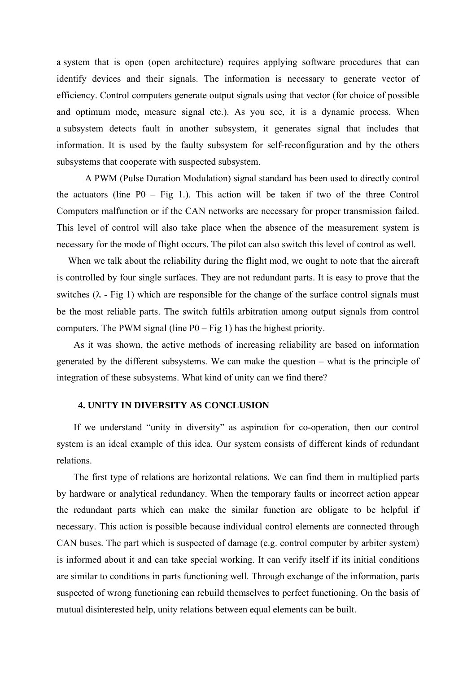a system that is open (open architecture) requires applying software procedures that can identify devices and their signals. The information is necessary to generate vector of efficiency. Control computers generate output signals using that vector (for choice of possible and optimum mode, measure signal etc.). As you see, it is a dynamic process. When a subsystem detects fault in another subsystem, it generates signal that includes that information. It is used by the faulty subsystem for self-reconfiguration and by the others subsystems that cooperate with suspected subsystem.

 A PWM (Pulse Duration Modulation) signal standard has been used to directly control the actuators (line  $P0 - Fig 1$ .). This action will be taken if two of the three Control Computers malfunction or if the CAN networks are necessary for proper transmission failed. This level of control will also take place when the absence of the measurement system is necessary for the mode of flight occurs. The pilot can also switch this level of control as well.

When we talk about the reliability during the flight mod, we ought to note that the aircraft is controlled by four single surfaces. They are not redundant parts. It is easy to prove that the switches  $(\lambda - Fig 1)$  which are responsible for the change of the surface control signals must be the most reliable parts. The switch fulfils arbitration among output signals from control computers. The PWM signal (line  $P0 - Fig 1$ ) has the highest priority.

As it was shown, the active methods of increasing reliability are based on information generated by the different subsystems. We can make the question – what is the principle of integration of these subsystems. What kind of unity can we find there?

### **4. UNITY IN DIVERSITY AS CONCLUSION**

If we understand "unity in diversity" as aspiration for co-operation, then our control system is an ideal example of this idea. Our system consists of different kinds of redundant relations.

The first type of relations are horizontal relations. We can find them in multiplied parts by hardware or analytical redundancy. When the temporary faults or incorrect action appear the redundant parts which can make the similar function are obligate to be helpful if necessary. This action is possible because individual control elements are connected through CAN buses. The part which is suspected of damage (e.g. control computer by arbiter system) is informed about it and can take special working. It can verify itself if its initial conditions are similar to conditions in parts functioning well. Through exchange of the information, parts suspected of wrong functioning can rebuild themselves to perfect functioning. On the basis of mutual disinterested help, unity relations between equal elements can be built.